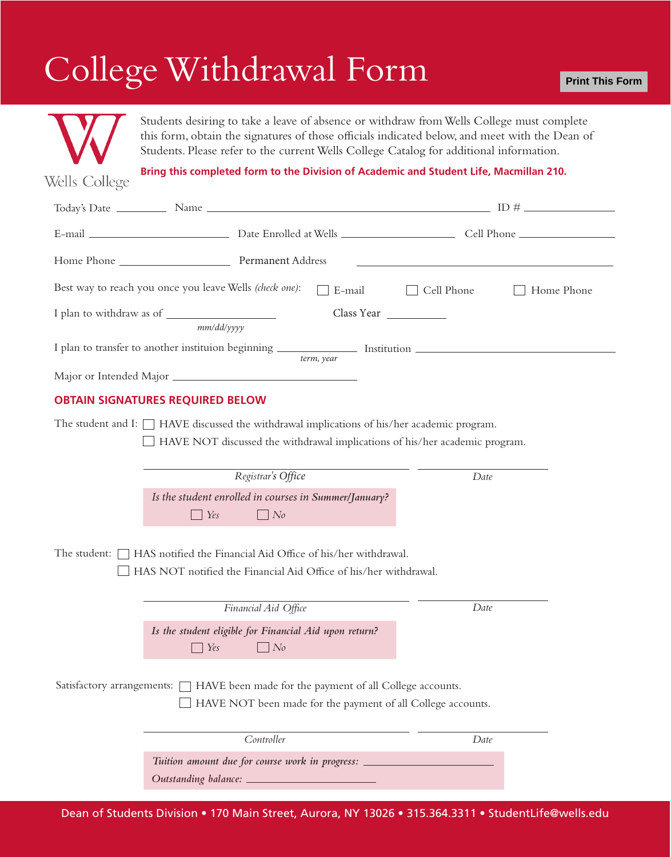## College Withdrawal Form



Students desiring to take a leave of absence or withdraw from Wells College must complete this form, obtain the signatures of those officials indicated below, and meet with the Dean of Students. Please refer to the current Wells College Catalog for additional information.

**Bring this completed form to the Division of Academic and Student Life, Macmillan 210.**

Wells College

|                                                                                                                                                                                  | Best way to reach you once you leave Wells (check one):                                                                            | E-mail | Cell Phone | Home Phone |  |
|----------------------------------------------------------------------------------------------------------------------------------------------------------------------------------|------------------------------------------------------------------------------------------------------------------------------------|--------|------------|------------|--|
|                                                                                                                                                                                  | mm/dd/yyyy                                                                                                                         |        |            |            |  |
| term, year                                                                                                                                                                       |                                                                                                                                    |        |            |            |  |
|                                                                                                                                                                                  |                                                                                                                                    |        |            |            |  |
| <b>OBTAIN SIGNATURES REQUIRED BELOW</b>                                                                                                                                          |                                                                                                                                    |        |            |            |  |
| The student and I: $\Box$ HAVE discussed the withdrawal implications of his/her academic program.<br>HAVE NOT discussed the withdrawal implications of his/her academic program. |                                                                                                                                    |        |            |            |  |
|                                                                                                                                                                                  | Registrar's Office                                                                                                                 |        | Date       |            |  |
|                                                                                                                                                                                  | Is the student enrolled in courses in Summer/January?<br>Yes<br>$\Box$ No<br>$\mathbf{L}$                                          |        |            |            |  |
| The student: $\Box$ HAS notified the Financial Aid Office of his/her withdrawal.<br>HAS NOT notified the Financial Aid Office of his/her withdrawal.                             |                                                                                                                                    |        |            |            |  |
|                                                                                                                                                                                  | Financial Aid Office                                                                                                               |        | Date       |            |  |
|                                                                                                                                                                                  | Is the student eligible for Financial Aid upon return?<br>Yes<br>N <sub>0</sub>                                                    |        |            |            |  |
| Satisfactory arrangements: $\Box$ HAVE been made for the payment of all College accounts.<br>HAVE NOT been made for the payment of all College accounts.                         |                                                                                                                                    |        |            |            |  |
|                                                                                                                                                                                  | Controller                                                                                                                         |        | Date       |            |  |
|                                                                                                                                                                                  | Tuition amount due for course work in progress: ________________________________<br>Outstanding balance: _________________________ |        |            |            |  |

Dean of Students Division • 170 Main Street, Aurora, NY 13026 • 315.364.3311 • StudentLife@wells.edu